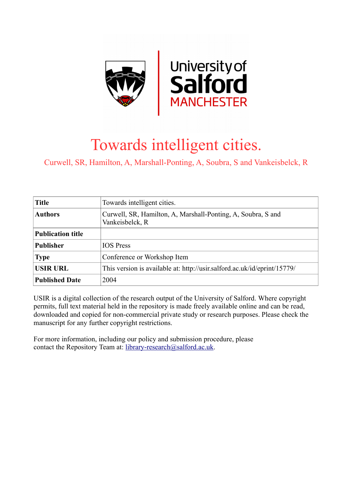

# Towards intelligent cities.

Curwell, SR, Hamilton, A, Marshall-Ponting, A, Soubra, S and Vankeisbelck, R

| <b>Title</b>             | Towards intelligent cities.                                                     |  |  |  |
|--------------------------|---------------------------------------------------------------------------------|--|--|--|
| <b>Authors</b>           | Curwell, SR, Hamilton, A, Marshall-Ponting, A, Soubra, S and<br>Vankeisbelck, R |  |  |  |
| <b>Publication title</b> |                                                                                 |  |  |  |
| <b>Publisher</b>         | <b>IOS</b> Press                                                                |  |  |  |
| <b>Type</b>              | Conference or Workshop Item                                                     |  |  |  |
| <b>USIR URL</b>          | This version is available at: http://usir.salford.ac.uk/id/eprint/15779/        |  |  |  |
| <b>Published Date</b>    | 2004                                                                            |  |  |  |

USIR is a digital collection of the research output of the University of Salford. Where copyright permits, full text material held in the repository is made freely available online and can be read, downloaded and copied for non-commercial private study or research purposes. Please check the manuscript for any further copyright restrictions.

For more information, including our policy and submission procedure, please contact the Repository Team at: [library-research@salford.ac.uk.](mailto:library-research@salford.ac.uk)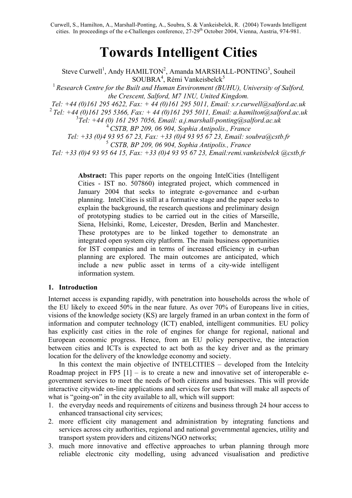# **Towards Intelligent Cities**

Steve Curwell<sup>1</sup>, Andy HAMILTON<sup>2</sup>, Amanda MARSHALL-PONTING<sup>3</sup>, Souheil SOUBRA<sup>4</sup>, Rémi Vankeisbelck<sup>5</sup> <sup>1</sup> Research Centre for the Built and Human Environment (BUHU), University of Salford, *the Crescent, Salford, M7 1NU, United Kingdom. Tel: +44 (0)161 295 4622, Fax: + 44 (0)161 295 5011, Email: s.r.curwell@salford.ac.uk* <sup>2</sup>*Tel: +44 (0)161 295 5366, Fax: + 44 (0)161 295 5011, Email: a.hamilton@salford.ac.uk* 3 *Tel: +44 (0) 161 295 7056, Email: a.j.marshall-ponting@salford.ac.uk* <sup>4</sup> *CSTB, BP 209, 06 904, Sophia Antipolis., France Tel: +33 (0)4 93 95 67 23, Fax: +33 (0)4 93 95 67 23, Email: soubra@cstb.fr* <sup>5</sup> *CSTB, BP 209, 06 904, Sophia Antipolis., France Tel: +33 (0)4 93 95 64 15, Fax: +33 (0)4 93 95 67 23, Email:remi.vankeisbelck @cstb.fr*

> **Abstract:** This paper reports on the ongoing IntelCities (Intelligent Cities - IST no. 507860) integrated project, which commenced in January 2004 that seeks to integrate e-governance and e-urban planning. IntelCities is still at a formative stage and the paper seeks to explain the background, the research questions and preliminary design of prototyping studies to be carried out in the cities of Marseille, Siena, Helsinki, Rome, Leicester, Dresden, Berlin and Manchester. These prototypes are to be linked together to demonstrate an integrated open system city platform. The main business opportunities for IST companies and in terms of increased efficiency in e-urban planning are explored. The main outcomes are anticipated, which include a new public asset in terms of a city-wide intelligent information system.

# **1. Introduction**

Internet access is expanding rapidly, with penetration into households across the whole of the EU likely to exceed 50% in the near future. As over 70% of Europeans live in cities, visions of the knowledge society (KS) are largely framed in an urban context in the form of information and computer technology (ICT) enabled, intelligent communities. EU policy has explicitly cast cities in the role of engines for change for regional, national and European economic progress. Hence, from an EU policy perspective, the interaction between cities and ICTs is expected to act both as the key driver and as the primary location for the delivery of the knowledge economy and society.

In this context the main objective of INTELCITIES – developed from the Intelcity Roadmap project in FP5  $[1]$  – is to create a new and innovative set of interoperable egovernment services to meet the needs of both citizens and businesses. This will provide interactive citywide on-line applications and services for users that will make all aspects of what is "going-on" in the city available to all, which will support:

- 1. the everyday needs and requirements of citizens and business through 24 hour access to enhanced transactional city services;
- 2. more efficient city management and administration by integrating functions and services across city authorities, regional and national governmental agencies, utility and transport system providers and citizens/NGO networks;
- 3. much more innovative and effective approaches to urban planning through more reliable electronic city modelling, using advanced visualisation and predictive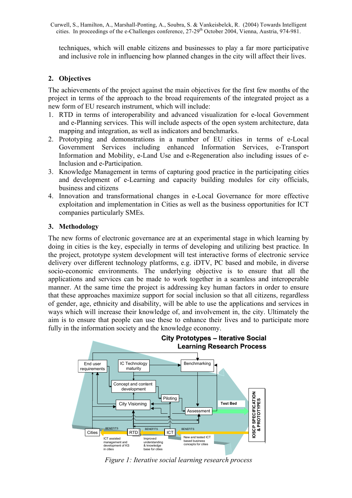techniques, which will enable citizens and businesses to play a far more participative and inclusive role in influencing how planned changes in the city will affect their lives.

# **2. Objectives**

The achievements of the project against the main objectives for the first few months of the project in terms of the approach to the broad requirements of the integrated project as a new form of EU research instrument, which will include:

- 1. RTD in terms of interoperability and advanced visualization for e-local Government and e-Planning services. This will include aspects of the open system architecture, data mapping and integration, as well as indicators and benchmarks.
- 2. Prototyping and demonstrations in a number of EU cities in terms of e-Local Government Services including enhanced Information Services, e-Transport Information and Mobility, e-Land Use and e-Regeneration also including issues of e-Inclusion and e-Participation.
- 3. Knowledge Management in terms of capturing good practice in the participating cities and development of e-Learning and capacity building modules for city officials, business and citizens
- 4. Innovation and transformational changes in e-Local Governance for more effective exploitation and implementation in Cities as well as the business opportunities for ICT companies particularly SMEs.

# **3. Methodology**

The new forms of electronic governance are at an experimental stage in which learning by doing in cities is the key, especially in terms of developing and utilizing best practice. In the project, prototype system development will test interactive forms of electronic service delivery over different technology platforms, e.g. iDTV, PC based and mobile, in diverse socio-economic environments. The underlying objective is to ensure that all the applications and services can be made to work together in a seamless and interoperable manner. At the same time the project is addressing key human factors in order to ensure that these approaches maximize support for social inclusion so that all citizens, regardless of gender, age, ethnicity and disability, will be able to use the applications and services in ways which will increase their knowledge of, and involvement in, the city. Ultimately the aim is to ensure that people can use these to enhance their lives and to participate more fully in the information society and the knowledge economy.



*Figure 1: Iterative social learning research process*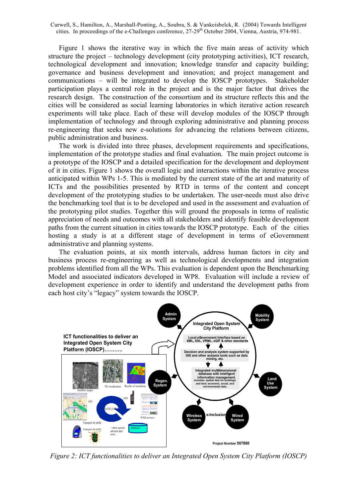Figure 1 shows the iterative way in which the five main areas of activity which structure the project – technology development (city prototyping activities), ICT research, technological development and innovation; knowledge transfer and capacity building; governance and business development and innovation; and project management and communications – will be integrated to develop the IOSCP prototypes. Stakeholder participation plays a central role in the project and is the major factor that drives the research design. The construction of the consortium and its structure reflects this and the cities will be considered as social learning laboratories in which iterative action research experiments will take place. Each of these will develop modules of the IOSCP through implementation of technology and through exploring administrative and planning process re-engineering that seeks new e-solutions for advancing the relations between citizens, public administration and business.

The work is divided into three phases, development requirements and specifications, implementation of the prototype studies and final evaluation. The main project outcome is a prototype of the IOSCP and a detailed specification for the development and deployment of it in cities. Figure 1 shows the overall logic and interactions within the iterative process anticipated within WPs 1-5. This is mediated by the current state of the art and maturity of ICTs and the possibilities presented by RTD in terms of the content and concept development of the prototyping studies to be undertaken. The user-needs must also drive the benchmarking tool that is to be developed and used in the assessment and evaluation of the prototyping pilot studies. Together this will ground the proposals in terms of realistic appreciation of needs and outcomes with all stakeholders and identify feasible development paths from the current situation in cities towards the IOSCP prototype. Each of the cities hosting a study is at a different stage of development in terms of eGovernment administrative and planning systems.

The evaluation points, at six month intervals, address human factors in city and business process re-engineering as well as technological developments and integration problems identified from all the WPs. This evaluation is dependent upon the Benchmarking Model and associated indicators developed in WP8. Evaluation will include a review of development experience in order to identify and understand the development paths from each host city's "legacy" system towards the IOSCP.



*Figure 2: ICT functionalities to deliver an Integrated Open System City Platform (IOSCP)*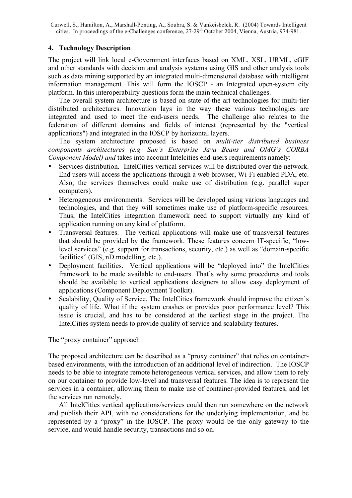# **4. Technology Description**

The project will link local e-Government interfaces based on XML, XSL, URML, eGIF and other standards with decision and analysis systems using GIS and other analysis tools such as data mining supported by an integrated multi-dimensional database with intelligent information management. This will form the IOSCP - an Integrated open-system city platform. In this interoperability questions form the main technical challenges.

The overall system architecture is based on state-of-the art technologies for multi-tier distributed architectures. Innovation lays in the way these various technologies are integrated and used to meet the end-users needs. The challenge also relates to the federation of different domains and fields of interest (represented by the "vertical applications") and integrated in the IOSCP by horizontal layers.

The system architecture proposed is based on *multi-tier distributed business components architectures (e.g. Sun's Enterprise Java Beans and OMG's CORBA Component Model) and* takes into account Intelcities end-users requirements namely:

- Services distribution. IntelCities vertical services will be distributed over the network. End users will access the applications through a web browser, Wi-Fi enabled PDA, etc. Also, the services themselves could make use of distribution (e.g. parallel super computers).
- Heterogeneous environments. Services will be developed using various languages and technologies, and that they will sometimes make use of platform-specific resources. Thus, the IntelCities integration framework need to support virtually any kind of application running on any kind of platform.
- Transversal features. The vertical applications will make use of transversal features that should be provided by the framework. These features concern IT-specific, "lowlevel services" (e.g. support for transactions, security, etc.) as well as "domain-specific facilities" (GIS, nD modelling, etc.).
- Deployment facilities. Vertical applications will be "deployed into" the IntelCities framework to be made available to end-users. That's why some procedures and tools should be available to vertical applications designers to allow easy deployment of applications (Component Deployment Toolkit).
- Scalability, Quality of Service. The IntelCities framework should improve the citizen's quality of life. What if the system crashes or provides poor performance level? This issue is crucial, and has to be considered at the earliest stage in the project. The IntelCities system needs to provide quality of service and scalability features.

The "proxy container" approach

The proposed architecture can be described as a "proxy container" that relies on containerbased environments, with the introduction of an additional level of indirection. The IOSCP needs to be able to integrate remote heterogeneous vertical services, and allow them to rely on our container to provide low-level and transversal features. The idea is to represent the services in a container, allowing them to make use of container-provided features, and let the services run remotely.

All IntelCities vertical applications/services could then run somewhere on the network and publish their API, with no considerations for the underlying implementation, and be represented by a "proxy" in the IOSCP. The proxy would be the only gateway to the service, and would handle security, transactions and so on.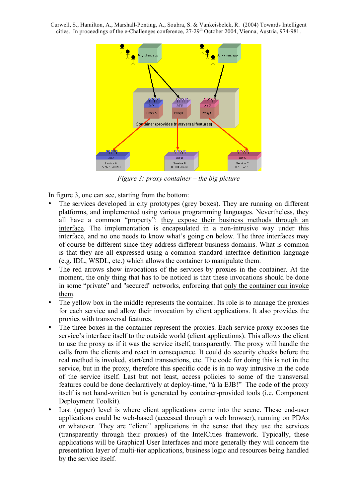

*Figure 3: proxy container – the big picture*

In figure 3, one can see, starting from the bottom:

- The services developed in city prototypes (grey boxes). They are running on different platforms, and implemented using various programming languages. Nevertheless, they all have a common "property": they expose their business methods through an interface. The implementation is encapsulated in a non-intrusive way under this interface, and no one needs to know what's going on below. The three interfaces may of course be different since they address different business domains. What is common is that they are all expressed using a common standard interface definition language (e.g. IDL, WSDL, etc.) which allows the container to manipulate them.
- The red arrows show invocations of the services by proxies in the container. At the moment, the only thing that has to be noticed is that these invocations should be done in some "private" and "secured" networks, enforcing that only the container can invoke them.
- The yellow box in the middle represents the container. Its role is to manage the proxies for each service and allow their invocation by client applications. It also provides the proxies with transversal features.
- The three boxes in the container represent the proxies. Each service proxy exposes the service's interface itself to the outside world (client applications). This allows the client to use the proxy as if it was the service itself, transparently. The proxy will handle the calls from the clients and react in consequence. It could do security checks before the real method is invoked, start/end transactions, etc. The code for doing this is not in the service, but in the proxy, therefore this specific code is in no way intrusive in the code of the service itself. Last but not least, access policies to some of the transversal features could be done declaratively at deploy-time, "à la EJB!" The code of the proxy itself is not hand-written but is generated by container-provided tools (i.e. Component Deployment Toolkit).
- Last (upper) level is where client applications come into the scene. These end-user applications could be web-based (accessed through a web browser), running on PDAs or whatever. They are "client" applications in the sense that they use the services (transparently through their proxies) of the IntelCities framework. Typically, these applications will be Graphical User Interfaces and more generally they will concern the presentation layer of multi-tier applications, business logic and resources being handled by the service itself.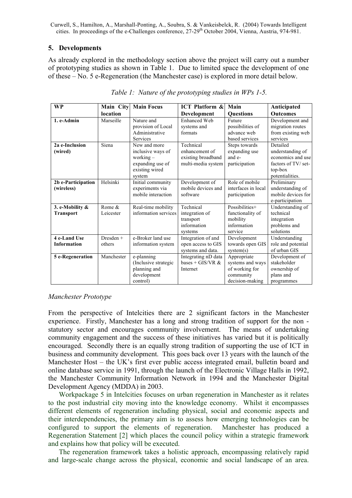#### **5. Developments**

As already explored in the methodology section above the project will carry out a number of prototyping studies as shown in Table 1. Due to limited space the development of one of these – No. 5 e-Regeneration (the Manchester case) is explored in more detail below.

| <b>WP</b>                        | Main City  | <b>Main Focus</b>                                                                | <b>ICT</b> Platform &                                      | Main                                                                              | Anticipated                                                                               |
|----------------------------------|------------|----------------------------------------------------------------------------------|------------------------------------------------------------|-----------------------------------------------------------------------------------|-------------------------------------------------------------------------------------------|
|                                  | location   |                                                                                  | Development                                                | <b>Ouestions</b>                                                                  | <b>Outcomes</b>                                                                           |
| 1. e-Admin                       | Marseille  | Nature and<br>provision of Local<br>Administrative<br><b>Services</b>            | <b>Enhanced Web</b><br>systems and<br>formats              | Future<br>possibilities of<br>advance web<br>based services                       | Development and<br>migration routes<br>from existing web<br>services                      |
| 2a e-Inclusion                   | Siena      | New and more                                                                     | Technical                                                  | Steps towards                                                                     | Detailed                                                                                  |
| (wired)                          |            | inclusive ways of<br>working $-$<br>expanding use of<br>existing wired<br>system | enhancement of<br>existing broadband<br>multi-media system | expanding use<br>and e-<br>participation                                          | understanding of<br>economics and use<br>factors of TV/set-<br>top-box<br>potentialities. |
| 2b e-Participation<br>(wireless) | Helsinki   | Initial community<br>experiments via<br>mobile interaction                       | Development of<br>mobile devices and<br>software           | Role of mobile<br>interfaces in local<br>participation                            | Preliminary<br>understanding of<br>mobile devices for<br>e-participation                  |
| 3. e-Mobility &                  | Rome &     | Real-time mobility                                                               | Technical                                                  | Possibilities+                                                                    | Understanding of                                                                          |
| <b>Transport</b>                 | Leicester  | information services                                                             | integration of<br>transport<br>information<br>systems      | functionality of<br>mobility<br>information<br>service                            | technical<br>integration<br>problems and<br>solutions                                     |
| 4 e-Land Use                     | Dresden +  | e-Broker land use                                                                | Integration of and                                         | Development                                                                       | Understanding                                                                             |
| <b>Information</b>               | others     | information system                                                               | open access to GIS<br>systems and data.                    | towards open GIS<br>system(s)                                                     | role and potential<br>of urban GIS                                                        |
| 5 e-Regeneration                 | Manchester | e-planning<br>(Inclusive strategic<br>planning and<br>development<br>control)    | Integrating nD data<br>bases + GIS/VR $&$<br>Internet      | Appropriate<br>systems and ways<br>of working for<br>community<br>decision-making | Development of<br>stakeholder<br>ownership of<br>plans and<br>programmes                  |

*Table 1: Nature of the prototyping studies in WPs 1-5.*

#### *Manchester Prototype*

From the perspective of Intelcities there are 2 significant factors in the Manchester experience. Firstly, Manchester has a long and strong tradition of support for the non statutory sector and encourages community involvement. The means of undertaking community engagement and the success of these initiatives has varied but it is politically encouraged. Secondly there is an equally strong tradition of supporting the use of ICT in business and community development. This goes back over 13 years with the launch of the Manchester Host – the UK's first ever public access integrated email, bulletin board and online database service in 1991, through the launch of the Electronic Village Halls in 1992, the Manchester Community Information Network in 1994 and the Manchester Digital Development Agency (MDDA) in 2003.

Workpackage 5 in Intelcities focuses on urban regeneration in Manchester as it relates to the post industrial city moving into the knowledge economy. Whilst it encompasses different elements of regeneration including physical, social and economic aspects and their interdependencies, the primary aim is to assess how emerging technologies can be configured to support the elements of regeneration. Manchester has produced a Regeneration Statement [2] which places the council policy within a strategic framework and explains how that policy will be executed.

The regeneration framework takes a holistic approach, encompassing relatively rapid and large-scale change across the physical, economic and social landscape of an area.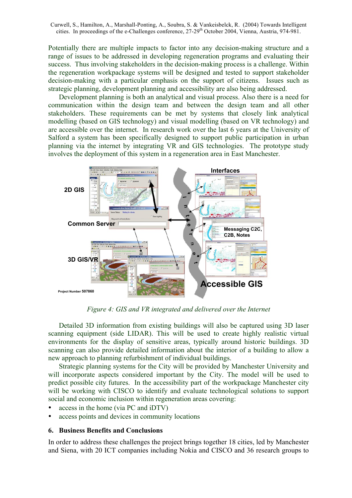Potentially there are multiple impacts to factor into any decision-making structure and a range of issues to be addressed in developing regeneration programs and evaluating their success. Thus involving stakeholders in the decision-making process is a challenge. Within the regeneration workpackage systems will be designed and tested to support stakeholder decision-making with a particular emphasis on the support of citizens. Issues such as strategic planning, development planning and accessibility are also being addressed.

Development planning is both an analytical and visual process. Also there is a need for communication within the design team and between the design team and all other stakeholders. These requirements can be met by systems that closely link analytical modelling (based on GIS technology) and visual modelling (based on VR technology) and are accessible over the internet. In research work over the last 6 years at the University of Salford a system has been specifically designed to support public participation in urban planning via the internet by integrating VR and GIS technologies. The prototype study involves the deployment of this system in a regeneration area in East Manchester.



*Figure 4: GIS and VR integrated and delivered over the Internet*

Detailed 3D information from existing buildings will also be captured using 3D laser scanning equipment (side LIDAR). This will be used to create highly realistic virtual environments for the display of sensitive areas, typically around historic buildings. 3D scanning can also provide detailed information about the interior of a building to allow a new approach to planning refurbishment of individual buildings.

Strategic planning systems for the City will be provided by Manchester University and will incorporate aspects considered important by the City. The model will be used to predict possible city futures. In the accessibility part of the workpackage Manchester city will be working with CISCO to identify and evaluate technological solutions to support social and economic inclusion within regeneration areas covering:

- access in the home (via PC and iDTV)
- access points and devices in community locations

## **6. Business Benefits and Conclusions**

In order to address these challenges the project brings together 18 cities, led by Manchester and Siena, with 20 ICT companies including Nokia and CISCO and 36 research groups to